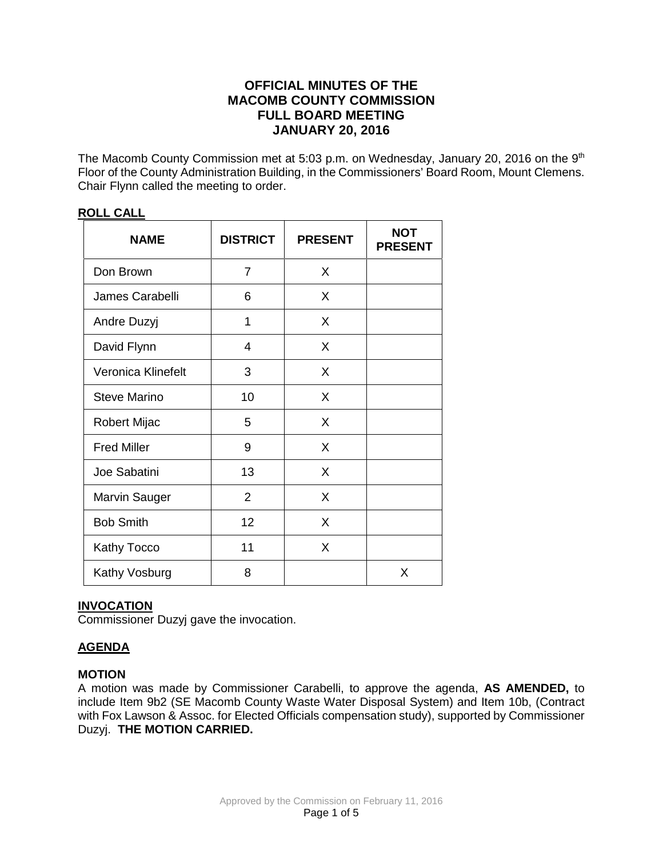# **OFFICIAL MINUTES OF THE MACOMB COUNTY COMMISSION FULL BOARD MEETING JANUARY 20, 2016**

The Macomb County Commission met at 5:03 p.m. on Wednesday, January 20, 2016 on the 9<sup>th</sup> Floor of the County Administration Building, in the Commissioners' Board Room, Mount Clemens. Chair Flynn called the meeting to order.

| <b>NAME</b>         | <b>DISTRICT</b> | <b>PRESENT</b> | <b>NOT</b><br><b>PRESENT</b> |
|---------------------|-----------------|----------------|------------------------------|
| Don Brown           | $\overline{7}$  | X              |                              |
| James Carabelli     | 6               | X              |                              |
| Andre Duzyj         | 1               | X              |                              |
| David Flynn         | 4               | X              |                              |
| Veronica Klinefelt  | 3               | X              |                              |
| <b>Steve Marino</b> | 10              | X              |                              |
| <b>Robert Mijac</b> | 5               | X              |                              |
| <b>Fred Miller</b>  | 9               | X              |                              |
| Joe Sabatini        | 13              | X              |                              |
| Marvin Sauger       | $\overline{2}$  | X              |                              |
| <b>Bob Smith</b>    | 12              | X              |                              |
| Kathy Tocco         | 11              | X              |                              |
| Kathy Vosburg       | 8               |                | X                            |

# **ROLL CALL**

# **INVOCATION**

Commissioner Duzyj gave the invocation.

# **AGENDA**

# **MOTION**

A motion was made by Commissioner Carabelli, to approve the agenda, **AS AMENDED,** to include Item 9b2 (SE Macomb County Waste Water Disposal System) and Item 10b, (Contract with Fox Lawson & Assoc. for Elected Officials compensation study), supported by Commissioner Duzyj. **THE MOTION CARRIED.**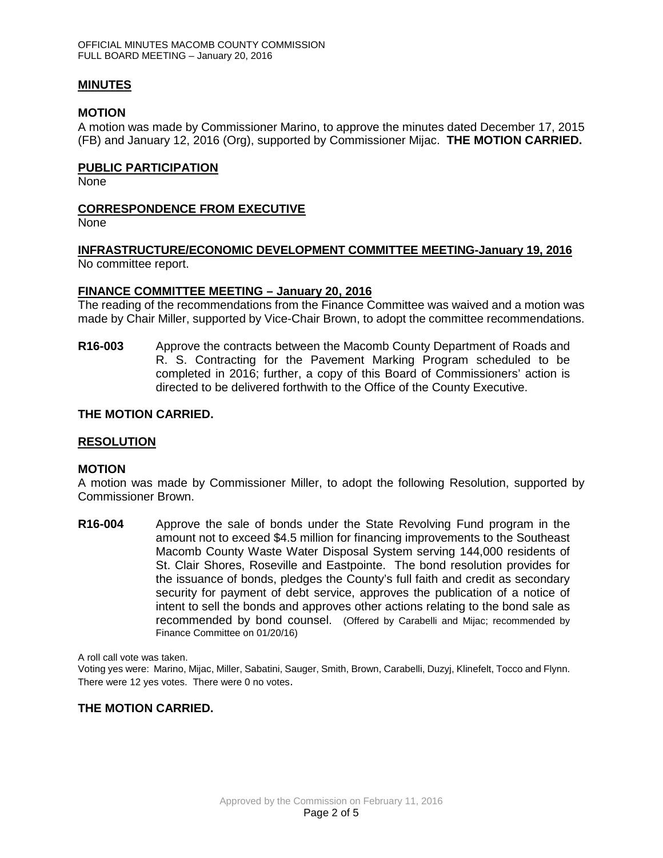### **MINUTES**

### **MOTION**

A motion was made by Commissioner Marino, to approve the minutes dated December 17, 2015 (FB) and January 12, 2016 (Org), supported by Commissioner Mijac. **THE MOTION CARRIED.** 

### **PUBLIC PARTICIPATION**

None

# **CORRESPONDENCE FROM EXECUTIVE**

None

# **INFRASTRUCTURE/ECONOMIC DEVELOPMENT COMMITTEE MEETING-January 19, 2016**

No committee report.

# **FINANCE COMMITTEE MEETING – January 20, 2016**

The reading of the recommendations from the Finance Committee was waived and a motion was made by Chair Miller, supported by Vice-Chair Brown, to adopt the committee recommendations.

**R16-003** Approve the contracts between the Macomb County Department of Roads and R. S. Contracting for the Pavement Marking Program scheduled to be completed in 2016; further, a copy of this Board of Commissioners' action is directed to be delivered forthwith to the Office of the County Executive.

# **THE MOTION CARRIED.**

### **RESOLUTION**

### **MOTION**

A motion was made by Commissioner Miller, to adopt the following Resolution, supported by Commissioner Brown.

**R16-004** Approve the sale of bonds under the State Revolving Fund program in the amount not to exceed \$4.5 million for financing improvements to the Southeast Macomb County Waste Water Disposal System serving 144,000 residents of St. Clair Shores, Roseville and Eastpointe. The bond resolution provides for the issuance of bonds, pledges the County's full faith and credit as secondary security for payment of debt service, approves the publication of a notice of intent to sell the bonds and approves other actions relating to the bond sale as recommended by bond counsel. (Offered by Carabelli and Mijac; recommended by Finance Committee on 01/20/16)

A roll call vote was taken.

Voting yes were: Marino, Mijac, Miller, Sabatini, Sauger, Smith, Brown, Carabelli, Duzyj, Klinefelt, Tocco and Flynn. There were 12 yes votes. There were 0 no votes.

# **THE MOTION CARRIED.**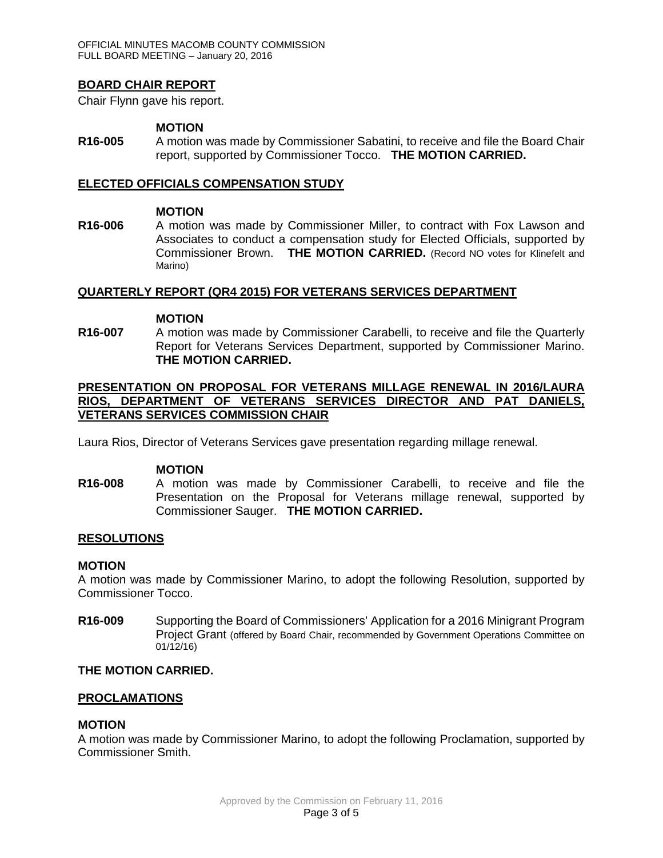# **BOARD CHAIR REPORT**

Chair Flynn gave his report.

#### **MOTION**

**R16-005** A motion was made by Commissioner Sabatini, to receive and file the Board Chair report, supported by Commissioner Tocco. **THE MOTION CARRIED.**

### **ELECTED OFFICIALS COMPENSATION STUDY**

#### **MOTION**

**R16-006** A motion was made by Commissioner Miller, to contract with Fox Lawson and Associates to conduct a compensation study for Elected Officials, supported by Commissioner Brown. **THE MOTION CARRIED.** (Record NO votes for Klinefelt and Marino)

#### **QUARTERLY REPORT (QR4 2015) FOR VETERANS SERVICES DEPARTMENT**

#### **MOTION**

**R16-007** A motion was made by Commissioner Carabelli, to receive and file the Quarterly Report for Veterans Services Department, supported by Commissioner Marino. **THE MOTION CARRIED.**

### **PRESENTATION ON PROPOSAL FOR VETERANS MILLAGE RENEWAL IN 2016/LAURA RIOS, DEPARTMENT OF VETERANS SERVICES DIRECTOR AND PAT DANIELS, VETERANS SERVICES COMMISSION CHAIR**

Laura Rios, Director of Veterans Services gave presentation regarding millage renewal.

### **MOTION**

**R16-008** A motion was made by Commissioner Carabelli, to receive and file the Presentation on the Proposal for Veterans millage renewal, supported by Commissioner Sauger. **THE MOTION CARRIED.**

### **RESOLUTIONS**

### **MOTION**

A motion was made by Commissioner Marino, to adopt the following Resolution, supported by Commissioner Tocco.

**R16-009** Supporting the Board of Commissioners' Application for a 2016 Minigrant Program Project Grant (offered by Board Chair, recommended by Government Operations Committee on 01/12/16)

# **THE MOTION CARRIED.**

### **PROCLAMATIONS**

### **MOTION**

A motion was made by Commissioner Marino, to adopt the following Proclamation, supported by Commissioner Smith.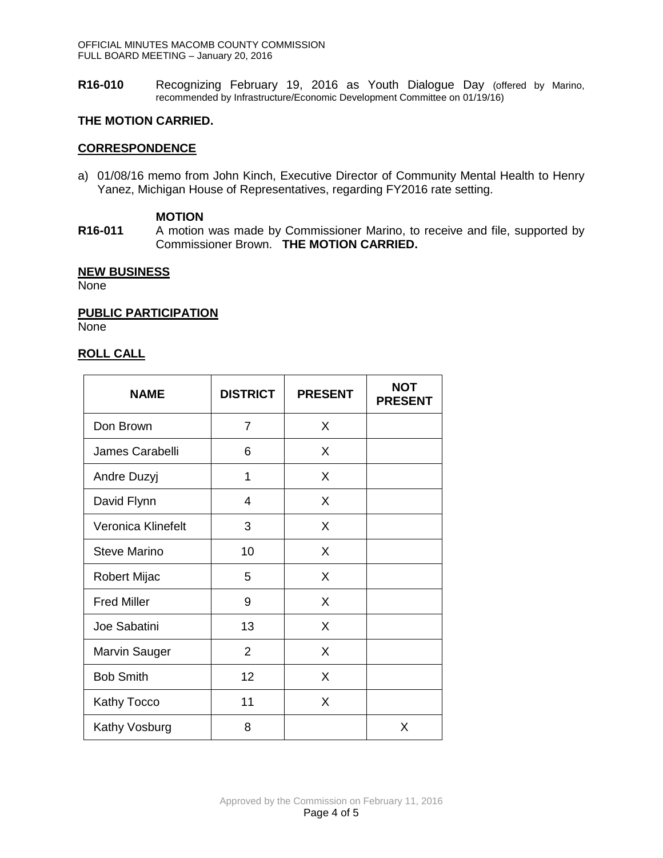**R16-010** Recognizing February 19, 2016 as Youth Dialogue Day (offered by Marino, recommended by Infrastructure/Economic Development Committee on 01/19/16)

# **THE MOTION CARRIED.**

# **CORRESPONDENCE**

a) 01/08/16 memo from John Kinch, Executive Director of Community Mental Health to Henry Yanez, Michigan House of Representatives, regarding FY2016 rate setting.

# **MOTION**

**R16-011** A motion was made by Commissioner Marino, to receive and file, supported by Commissioner Brown. **THE MOTION CARRIED.**

# **NEW BUSINESS**

None

**PUBLIC PARTICIPATION**

None

# **ROLL CALL**

| <b>NAME</b>        | <b>DISTRICT</b> | <b>PRESENT</b> | <b>NOT</b><br><b>PRESENT</b> |
|--------------------|-----------------|----------------|------------------------------|
| Don Brown          | $\overline{7}$  | X              |                              |
| James Carabelli    | 6               | X              |                              |
| Andre Duzyj        | 1               | X              |                              |
| David Flynn        | 4               | X              |                              |
| Veronica Klinefelt | 3               | X              |                              |
| Steve Marino       | 10              | X              |                              |
| Robert Mijac       | 5               | X              |                              |
| <b>Fred Miller</b> | 9               | X              |                              |
| Joe Sabatini       | 13              | X              |                              |
| Marvin Sauger      | 2               | X              |                              |
| <b>Bob Smith</b>   | 12              | X              |                              |
| <b>Kathy Tocco</b> | 11              | X              |                              |
| Kathy Vosburg      | 8               |                | X                            |